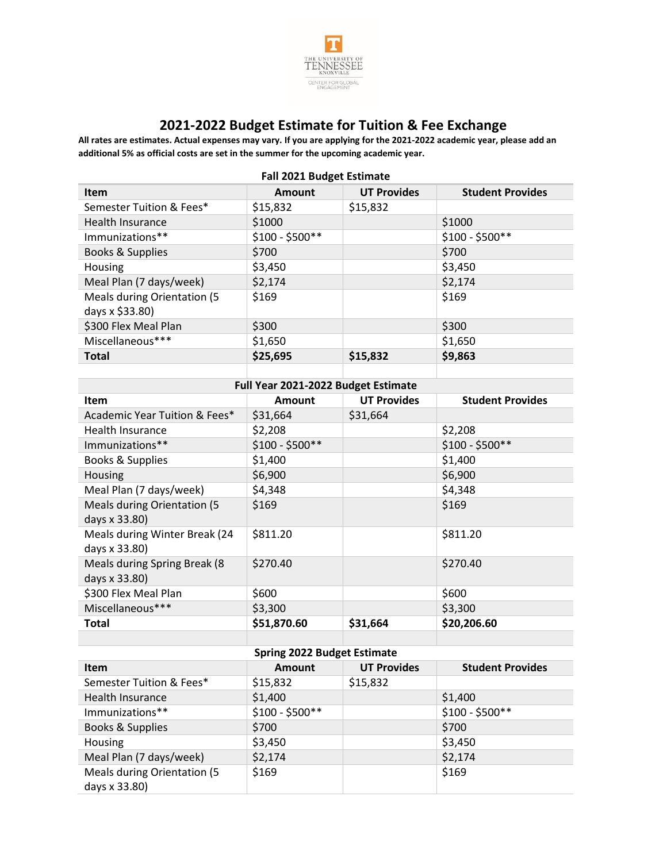

## **2021-2022 Budget Estimate for Tuition & Fee Exchange**

**All rates are estimates. Actual expenses may vary. If you are applying for the 2021-2022 academic year, please add an additional 5% as official costs are set in the summer for the upcoming academic year.**

| $1911$ 2021 Daviset Latinute                   |                  |                    |                         |  |  |
|------------------------------------------------|------------------|--------------------|-------------------------|--|--|
| <b>Item</b>                                    | <b>Amount</b>    | <b>UT Provides</b> | <b>Student Provides</b> |  |  |
| Semester Tuition & Fees*                       | \$15,832         | \$15,832           |                         |  |  |
| Health Insurance                               | \$1000           |                    | \$1000                  |  |  |
| Immunizations**                                | $$100 - $500**$$ |                    | $$100 - $500**$$        |  |  |
| Books & Supplies                               | \$700            |                    | \$700                   |  |  |
| Housing                                        | \$3,450          |                    | \$3,450                 |  |  |
| Meal Plan (7 days/week)                        | \$2,174          |                    | \$2,174                 |  |  |
| Meals during Orientation (5<br>days x \$33.80) | \$169            |                    | \$169                   |  |  |
| \$300 Flex Meal Plan                           | \$300            |                    | \$300                   |  |  |
| Miscellaneous***                               | \$1,650          |                    | \$1,650                 |  |  |
| <b>Total</b>                                   | \$25,695         | \$15,832           | \$9,863                 |  |  |
|                                                |                  |                    |                         |  |  |

## **Fall 2021 Budget Estimate**

| Full Year 2021-2022 Budget Estimate                 |                  |                    |                         |  |  |  |
|-----------------------------------------------------|------------------|--------------------|-------------------------|--|--|--|
| Item                                                | <b>Amount</b>    | <b>UT Provides</b> | <b>Student Provides</b> |  |  |  |
| Academic Year Tuition & Fees*                       | \$31,664         | \$31,664           |                         |  |  |  |
| Health Insurance                                    | \$2,208          |                    | \$2,208                 |  |  |  |
| Immunizations**                                     | $$100 - $500**$$ |                    | $$100 - $500**$$        |  |  |  |
| Books & Supplies                                    | \$1,400          |                    | \$1,400                 |  |  |  |
| Housing                                             | \$6,900          |                    | \$6,900                 |  |  |  |
| Meal Plan (7 days/week)                             | \$4,348          |                    | \$4,348                 |  |  |  |
| <b>Meals during Orientation (5</b><br>days x 33.80) | \$169            |                    | \$169                   |  |  |  |
| Meals during Winter Break (24<br>days x 33.80)      | \$811.20         |                    | \$811.20                |  |  |  |
| Meals during Spring Break (8)<br>days x 33.80)      | \$270.40         |                    | \$270.40                |  |  |  |
| \$300 Flex Meal Plan                                | \$600            |                    | \$600                   |  |  |  |
| Miscellaneous***                                    | \$3,300          |                    | \$3,300                 |  |  |  |
| Total                                               | \$51,870.60      | \$31,664           | \$20,206.60             |  |  |  |
|                                                     |                  |                    |                         |  |  |  |

## **Spring 2022 Budget Estimate**

| <b>Item</b>                                  | <b>Amount</b>    | <b>UT Provides</b> | <b>Student Provides</b> |
|----------------------------------------------|------------------|--------------------|-------------------------|
| Semester Tuition & Fees*                     | \$15,832         | \$15,832           |                         |
| Health Insurance                             | \$1,400          |                    | \$1,400                 |
| Immunizations**                              | $$100 - $500**$$ |                    | $$100 - $500**$$        |
| Books & Supplies                             | \$700            |                    | \$700                   |
| Housing                                      | \$3,450          |                    | \$3,450                 |
| Meal Plan (7 days/week)                      | \$2,174          |                    | \$2,174                 |
| Meals during Orientation (5<br>days x 33.80) | \$169            |                    | \$169                   |